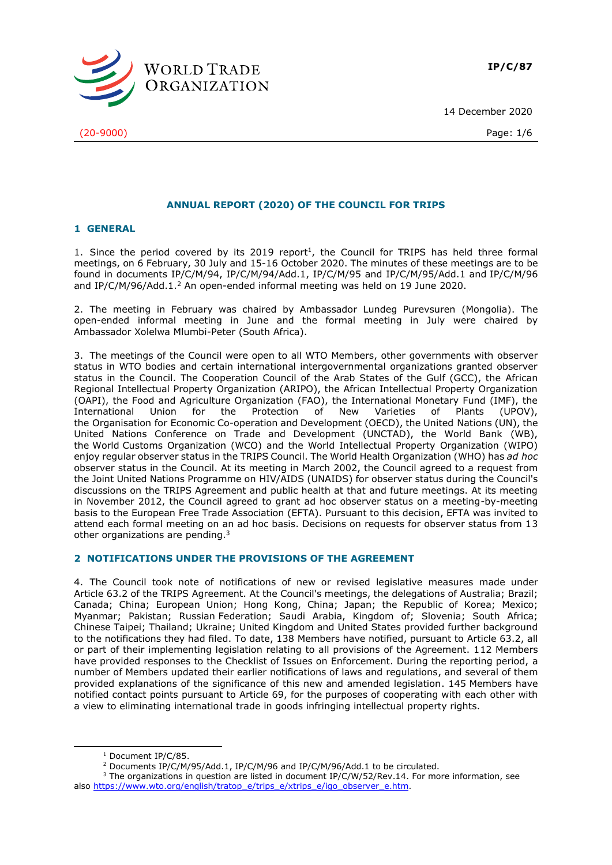

14 December 2020

# **ANNUAL REPORT (2020) OF THE COUNCIL FOR TRIPS**

### **1 GENERAL**

1. Since the period covered by its 2019 report<sup>1</sup>, the Council for TRIPS has held three formal meetings, on 6 February, 30 July and 15-16 October 2020. The minutes of these meetings are to be found in documents IP/C/M/94, IP/C/M/94/Add.1, IP/C/M/95 and IP/C/M/95/Add.1 and IP/C/M/96 and IP/C/M/96/Add.1.<sup>2</sup> An open-ended informal meeting was held on 19 June 2020.

2. The meeting in February was chaired by Ambassador Lundeg Purevsuren (Mongolia). The open-ended informal meeting in June and the formal meeting in July were chaired by Ambassador Xolelwa Mlumbi-Peter (South Africa).

3. The meetings of the Council were open to all WTO Members, other governments with observer status in WTO bodies and certain international intergovernmental organizations granted observer status in the Council. The Cooperation Council of the Arab States of the Gulf (GCC), the African Regional Intellectual Property Organization (ARIPO), the African Intellectual Property Organization (OAPI), the Food and Agriculture Organization (FAO), the International Monetary Fund (IMF), the International Union for the Protection of New Varieties of Plants (UPOV), the Organisation for Economic Co-operation and Development (OECD), the United Nations (UN), the United Nations Conference on Trade and Development (UNCTAD), the World Bank (WB), the World Customs Organization (WCO) and the World Intellectual Property Organization (WIPO) enjoy regular observer status in the TRIPS Council. The World Health Organization (WHO) has *ad hoc* observer status in the Council. At its meeting in March 2002, the Council agreed to a request from the Joint United Nations Programme on HIV/AIDS (UNAIDS) for observer status during the Council's discussions on the TRIPS Agreement and public health at that and future meetings. At its meeting in November 2012, the Council agreed to grant ad hoc observer status on a meeting-by-meeting basis to the European Free Trade Association (EFTA). Pursuant to this decision, EFTA was invited to attend each formal meeting on an ad hoc basis. Decisions on requests for observer status from 13 other organizations are pending.<sup>3</sup>

# **2 NOTIFICATIONS UNDER THE PROVISIONS OF THE AGREEMENT**

4. The Council took note of notifications of new or revised legislative measures made under Article 63.2 of the TRIPS Agreement. At the Council's meetings, the delegations of Australia; Brazil; Canada; China; European Union; Hong Kong, China; Japan; the Republic of Korea; Mexico; Myanmar; Pakistan; Russian Federation; Saudi Arabia, Kingdom of; Slovenia; South Africa; Chinese Taipei; Thailand; Ukraine; United Kingdom and United States provided further background to the notifications they had filed. To date, 138 Members have notified, pursuant to Article 63.2, all or part of their implementing legislation relating to all provisions of the Agreement. 112 Members have provided responses to the Checklist of Issues on Enforcement. During the reporting period, a number of Members updated their earlier notifications of laws and regulations, and several of them provided explanations of the significance of this new and amended legislation. 145 Members have notified contact points pursuant to Article 69, for the purposes of cooperating with each other with a view to eliminating international trade in goods infringing intellectual property rights.

<sup>&</sup>lt;sup>1</sup> Document IP/C/85.

<sup>2</sup> Documents IP/C/M/95/Add.1, IP/C/M/96 and IP/C/M/96/Add.1 to be circulated.

 $3$  The organizations in question are listed in document IP/C/W/52/Rev.14. For more information, see also [https://www.wto.org/english/tratop\\_e/trips\\_e/xtrips\\_e/igo\\_observer\\_e.htm.](https://www.wto.org/english/tratop_e/trips_e/xtrips_e/igo_observer_e.htm)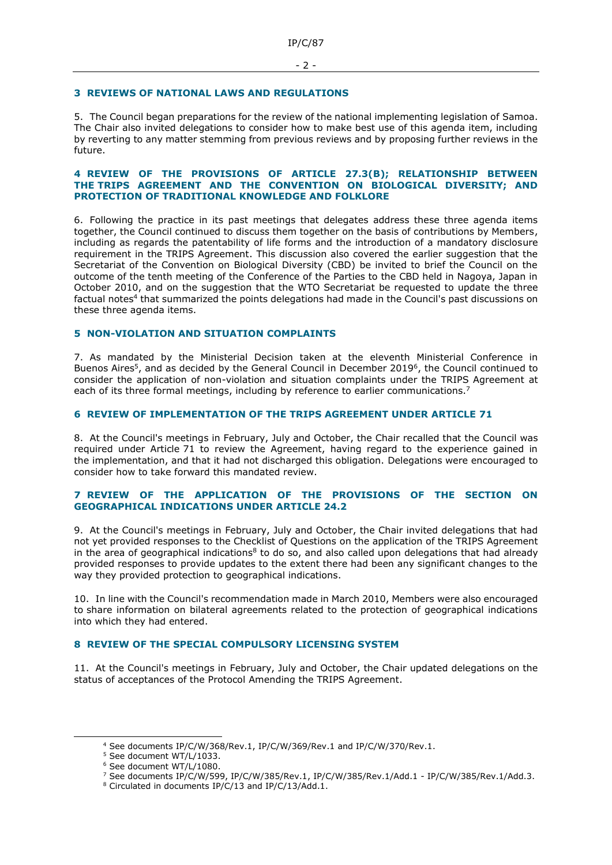#### **3 REVIEWS OF NATIONAL LAWS AND REGULATIONS**

5. The Council began preparations for the review of the national implementing legislation of Samoa. The Chair also invited delegations to consider how to make best use of this agenda item, including by reverting to any matter stemming from previous reviews and by proposing further reviews in the future.

## **4 REVIEW OF THE PROVISIONS OF ARTICLE 27.3(B); RELATIONSHIP BETWEEN THE TRIPS AGREEMENT AND THE CONVENTION ON BIOLOGICAL DIVERSITY; AND PROTECTION OF TRADITIONAL KNOWLEDGE AND FOLKLORE**

6. Following the practice in its past meetings that delegates address these three agenda items together, the Council continued to discuss them together on the basis of contributions by Members, including as regards the patentability of life forms and the introduction of a mandatory disclosure requirement in the TRIPS Agreement. This discussion also covered the earlier suggestion that the Secretariat of the Convention on Biological Diversity (CBD) be invited to brief the Council on the outcome of the tenth meeting of the Conference of the Parties to the CBD held in Nagoya, Japan in October 2010, and on the suggestion that the WTO Secretariat be requested to update the three factual notes<sup>4</sup> that summarized the points delegations had made in the Council's past discussions on these three agenda items.

# **5 NON-VIOLATION AND SITUATION COMPLAINTS**

7. As mandated by the Ministerial Decision taken at the eleventh Ministerial Conference in Buenos Aires<sup>5</sup>, and as decided by the General Council in December 2019<sup>6</sup>, the Council continued to consider the application of non-violation and situation complaints under the TRIPS Agreement at each of its three formal meetings, including by reference to earlier communications.<sup>7</sup>

#### **6 REVIEW OF IMPLEMENTATION OF THE TRIPS AGREEMENT UNDER ARTICLE 71**

8. At the Council's meetings in February, July and October, the Chair recalled that the Council was required under Article 71 to review the Agreement, having regard to the experience gained in the implementation, and that it had not discharged this obligation. Delegations were encouraged to consider how to take forward this mandated review.

#### **7 REVIEW OF THE APPLICATION OF THE PROVISIONS OF THE SECTION ON GEOGRAPHICAL INDICATIONS UNDER ARTICLE 24.2**

9. At the Council's meetings in February, July and October, the Chair invited delegations that had not yet provided responses to the Checklist of Questions on the application of the TRIPS Agreement in the area of geographical indications<sup>8</sup> to do so, and also called upon delegations that had already provided responses to provide updates to the extent there had been any significant changes to the way they provided protection to geographical indications.

10. In line with the Council's recommendation made in March 2010, Members were also encouraged to share information on bilateral agreements related to the protection of geographical indications into which they had entered.

### **8 REVIEW OF THE SPECIAL COMPULSORY LICENSING SYSTEM**

11. At the Council's meetings in February, July and October, the Chair updated delegations on the status of acceptances of the Protocol Amending the TRIPS Agreement.

<sup>4</sup> See documents IP/C/W/368/Rev.1, IP/C/W/369/Rev.1 and IP/C/W/370/Rev.1.

<sup>5</sup> See document WT/L/1033.

<sup>6</sup> See document WT/L/1080.

<sup>7</sup> See documents IP/C/W/599, IP/C/W/385/Rev.1, IP/C/W/385/Rev.1/Add.1 - IP/C/W/385/Rev.1/Add.3.

<sup>8</sup> Circulated in documents IP/C/13 and IP/C/13/Add.1.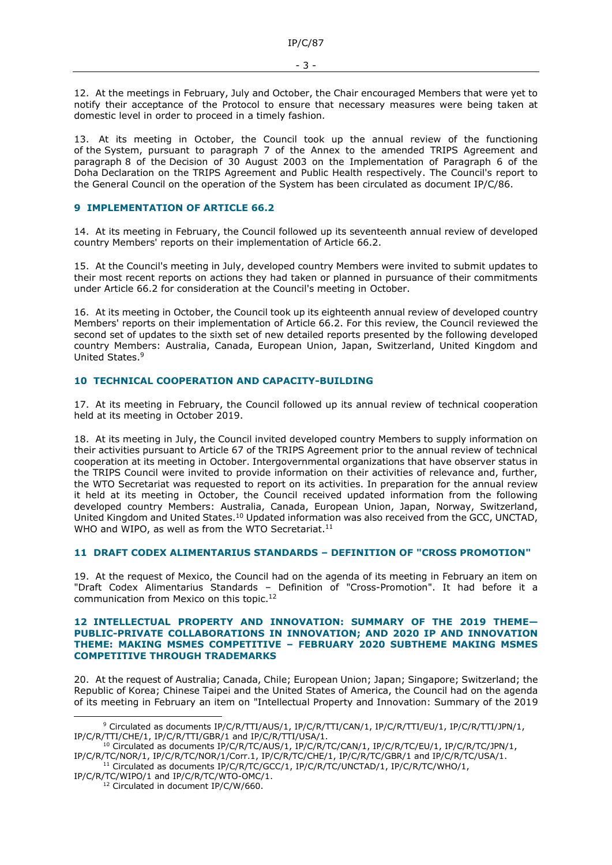- 3 -

12. At the meetings in February, July and October, the Chair encouraged Members that were yet to notify their acceptance of the Protocol to ensure that necessary measures were being taken at domestic level in order to proceed in a timely fashion.

13. At its meeting in October, the Council took up the annual review of the functioning of the System, pursuant to paragraph 7 of the Annex to the amended TRIPS Agreement and paragraph 8 of the Decision of 30 August 2003 on the Implementation of Paragraph 6 of the Doha Declaration on the TRIPS Agreement and Public Health respectively. The Council's report to the General Council on the operation of the System has been circulated as document IP/C/86.

# **9 IMPLEMENTATION OF ARTICLE 66.2**

14. At its meeting in February, the Council followed up its seventeenth annual review of developed country Members' reports on their implementation of Article 66.2.

15. At the Council's meeting in July, developed country Members were invited to submit updates to their most recent reports on actions they had taken or planned in pursuance of their commitments under Article 66.2 for consideration at the Council's meeting in October.

16. At its meeting in October, the Council took up its eighteenth annual review of developed country Members' reports on their implementation of Article 66.2. For this review, the Council reviewed the second set of updates to the sixth set of new detailed reports presented by the following developed country Members: Australia, Canada, European Union, Japan, Switzerland, United Kingdom and United States.<sup>9</sup>

### **10 TECHNICAL COOPERATION AND CAPACITY-BUILDING**

17. At its meeting in February, the Council followed up its annual review of technical cooperation held at its meeting in October 2019.

18. At its meeting in July, the Council invited developed country Members to supply information on their activities pursuant to Article 67 of the TRIPS Agreement prior to the annual review of technical cooperation at its meeting in October. Intergovernmental organizations that have observer status in the TRIPS Council were invited to provide information on their activities of relevance and, further, the WTO Secretariat was requested to report on its activities. In preparation for the annual review it held at its meeting in October, the Council received updated information from the following developed country Members: Australia, Canada, European Union, Japan, Norway, Switzerland, United Kingdom and United States.<sup>10</sup> Updated information was also received from the GCC, UNCTAD, WHO and WIPO, as well as from the WTO Secretariat.<sup>11</sup>

# **11 DRAFT CODEX ALIMENTARIUS STANDARDS – DEFINITION OF "CROSS PROMOTION"**

19. At the request of Mexico, the Council had on the agenda of its meeting in February an item on "Draft Codex Alimentarius Standards – Definition of "Cross-Promotion". It had before it a communication from Mexico on this topic.<sup>12</sup>

#### **12 INTELLECTUAL PROPERTY AND INNOVATION: SUMMARY OF THE 2019 THEME— PUBLIC-PRIVATE COLLABORATIONS IN INNOVATION; AND 2020 IP AND INNOVATION THEME: MAKING MSMES COMPETITIVE – FEBRUARY 2020 SUBTHEME MAKING MSMES COMPETITIVE THROUGH TRADEMARKS**

20. At the request of Australia; Canada, Chile; European Union; Japan; Singapore; Switzerland; the Republic of Korea; Chinese Taipei and the United States of America, the Council had on the agenda of its meeting in February an item on "Intellectual Property and Innovation: Summary of the 2019

<sup>9</sup> Circulated as documents IP/C/R/TTI/AUS/1, IP/C/R/TTI/CAN/1, IP/C/R/TTI/EU/1, IP/C/R/TTI/JPN/1, IP/C/R/TTI/CHE/1, IP/C/R/TTI/GBR/1 and IP/C/R/TTI/USA/1.

<sup>&</sup>lt;sup>10</sup> Circulated as documents IP/C/R/TC/AUS/1, IP/C/R/TC/CAN/1, IP/C/R/TC/EU/1, IP/C/R/TC/JPN/1, IP/C/R/TC/NOR/1, IP/C/R/TC/NOR/1/Corr.1, IP/C/R/TC/CHE/1, IP/C/R/TC/GBR/1 and IP/C/R/TC/USA/1. <sup>11</sup> Circulated as documents  $IP/C/R/TC/GCC/1$ ,  $IP/C/R/TC/UNCTAD/1$ ,  $IP/C/R/TC/WHO/1$ ,

IP/C/R/TC/WIPO/1 and IP/C/R/TC/WTO-OMC/1.

<sup>&</sup>lt;sup>12</sup> Circulated in document IP/C/W/660.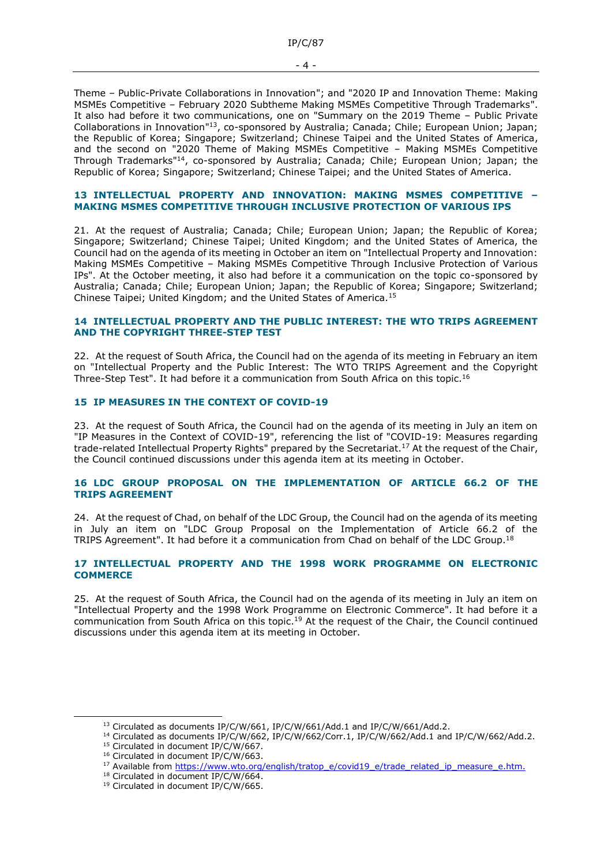IP/C/87

Theme – Public-Private Collaborations in Innovation"; and "2020 IP and Innovation Theme: Making MSMEs Competitive – February 2020 Subtheme Making MSMEs Competitive Through Trademarks". It also had before it two communications, one on "Summary on the 2019 Theme – Public Private Collaborations in Innovation" <sup>13</sup>, co-sponsored by Australia; Canada; Chile; European Union; Japan; the Republic of Korea; Singapore; Switzerland; Chinese Taipei and the United States of America, and the second on "2020 Theme of Making MSMEs Competitive – Making MSMEs Competitive Through Trademarks" <sup>14</sup>, co-sponsored by Australia; Canada; Chile; European Union; Japan; the Republic of Korea; Singapore; Switzerland; Chinese Taipei; and the United States of America.

## **13 INTELLECTUAL PROPERTY AND INNOVATION: MAKING MSMES COMPETITIVE – MAKING MSMES COMPETITIVE THROUGH INCLUSIVE PROTECTION OF VARIOUS IPS**

21. At the request of Australia; Canada; Chile; European Union; Japan; the Republic of Korea; Singapore; Switzerland; Chinese Taipei; United Kingdom; and the United States of America, the Council had on the agenda of its meeting in October an item on "Intellectual Property and Innovation: Making MSMEs Competitive – Making MSMEs Competitive Through Inclusive Protection of Various IPs". At the October meeting, it also had before it a communication on the topic co-sponsored by Australia; Canada; Chile; European Union; Japan; the Republic of Korea; Singapore; Switzerland; Chinese Taipei; United Kingdom; and the United States of America.<sup>15</sup>

# **14 INTELLECTUAL PROPERTY AND THE PUBLIC INTEREST: THE WTO TRIPS AGREEMENT AND THE COPYRIGHT THREE-STEP TEST**

22. At the request of South Africa, the Council had on the agenda of its meeting in February an item on "Intellectual Property and the Public Interest: The WTO TRIPS Agreement and the Copyright Three-Step Test". It had before it a communication from South Africa on this topic.<sup>16</sup>

# **15 IP MEASURES IN THE CONTEXT OF COVID-19**

23. At the request of South Africa, the Council had on the agenda of its meeting in July an item on "IP Measures in the Context of COVID-19", referencing the list of "COVID-19: Measures regarding trade-related Intellectual Property Rights" prepared by the Secretariat.<sup>17</sup> At the request of the Chair, the Council continued discussions under this agenda item at its meeting in October.

## **16 LDC GROUP PROPOSAL ON THE IMPLEMENTATION OF ARTICLE 66.2 OF THE TRIPS AGREEMENT**

24. At the request of Chad, on behalf of the LDC Group, the Council had on the agenda of its meeting in July an item on "LDC Group Proposal on the Implementation of Article 66.2 of the TRIPS Agreement". It had before it a communication from Chad on behalf of the LDC Group.<sup>18</sup>

### **17 INTELLECTUAL PROPERTY AND THE 1998 WORK PROGRAMME ON ELECTRONIC COMMERCE**

25. At the request of South Africa, the Council had on the agenda of its meeting in July an item on "Intellectual Property and the 1998 Work Programme on Electronic Commerce". It had before it a communication from South Africa on this topic.<sup>19</sup> At the request of the Chair, the Council continued discussions under this agenda item at its meeting in October.

<sup>&</sup>lt;sup>13</sup> Circulated as documents IP/C/W/661, IP/C/W/661/Add.1 and IP/C/W/661/Add.2.

<sup>&</sup>lt;sup>14</sup> Circulated as documents IP/C/W/662, IP/C/W/662/Corr.1, IP/C/W/662/Add.1 and IP/C/W/662/Add.2.

<sup>&</sup>lt;sup>15</sup> Circulated in document IP/C/W/667.

<sup>&</sup>lt;sup>16</sup> Circulated in document IP/C/W/663.

<sup>&</sup>lt;sup>17</sup> Available from [https://www.wto.org/english/tratop\\_e/covid19\\_e/trade\\_related\\_ip\\_measure\\_e.htm.](https://www.wto.org/english/tratop_e/covid19_e/trade_related_ip_measure_e.htm)

<sup>&</sup>lt;sup>18</sup> Circulated in document IP/C/W/664.

<sup>&</sup>lt;sup>19</sup> Circulated in document IP/C/W/665.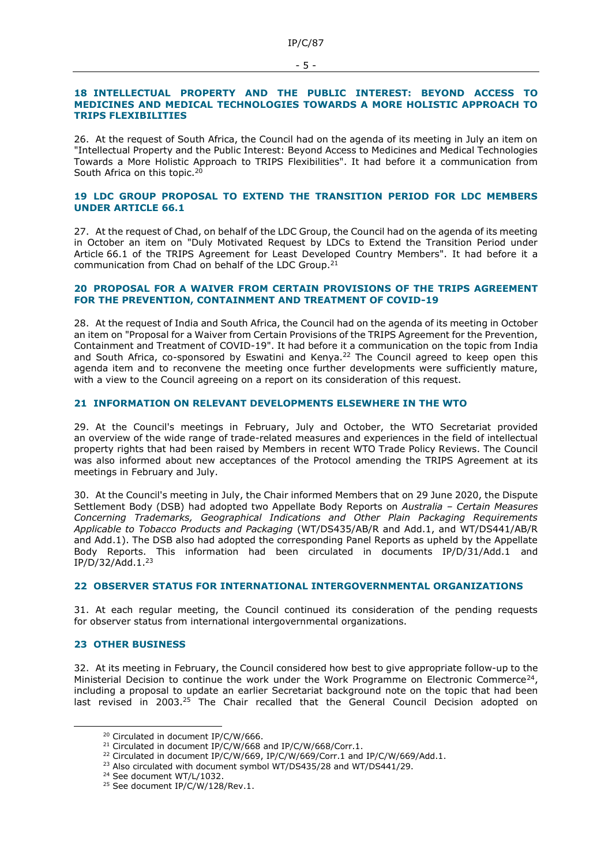## - 5 -

#### **18 INTELLECTUAL PROPERTY AND THE PUBLIC INTEREST: BEYOND ACCESS TO MEDICINES AND MEDICAL TECHNOLOGIES TOWARDS A MORE HOLISTIC APPROACH TO TRIPS FLEXIBILITIES**

26. At the request of South Africa, the Council had on the agenda of its meeting in July an item on "Intellectual Property and the Public Interest: Beyond Access to Medicines and Medical Technologies Towards a More Holistic Approach to TRIPS Flexibilities". It had before it a communication from South Africa on this topic.<sup>20</sup>

# **19 LDC GROUP PROPOSAL TO EXTEND THE TRANSITION PERIOD FOR LDC MEMBERS UNDER ARTICLE 66.1**

27. At the request of Chad, on behalf of the LDC Group, the Council had on the agenda of its meeting in October an item on "Duly Motivated Request by LDCs to Extend the Transition Period under Article 66.1 of the TRIPS Agreement for Least Developed Country Members". It had before it a communication from Chad on behalf of the LDC Group.<sup>21</sup>

### **20 PROPOSAL FOR A WAIVER FROM CERTAIN PROVISIONS OF THE TRIPS AGREEMENT FOR THE PREVENTION, CONTAINMENT AND TREATMENT OF COVID-19**

28. At the request of India and South Africa, the Council had on the agenda of its meeting in October an item on "Proposal for a Waiver from Certain Provisions of the TRIPS Agreement for the Prevention, Containment and Treatment of COVID-19". It had before it a communication on the topic from India and South Africa, co-sponsored by Eswatini and Kenya.<sup>22</sup> The Council agreed to keep open this agenda item and to reconvene the meeting once further developments were sufficiently mature, with a view to the Council agreeing on a report on its consideration of this request.

# **21 INFORMATION ON RELEVANT DEVELOPMENTS ELSEWHERE IN THE WTO**

29. At the Council's meetings in February, July and October, the WTO Secretariat provided an overview of the wide range of trade-related measures and experiences in the field of intellectual property rights that had been raised by Members in recent WTO Trade Policy Reviews. The Council was also informed about new acceptances of the Protocol amending the TRIPS Agreement at its meetings in February and July.

30. At the Council's meeting in July, the Chair informed Members that on 29 June 2020, the Dispute Settlement Body (DSB) had adopted two Appellate Body Reports on *Australia – Certain Measures Concerning Trademarks, Geographical Indications and Other Plain Packaging Requirements Applicable to Tobacco Products and Packaging* (WT/DS435/AB/R and Add.1, and WT/DS441/AB/R and Add.1). The DSB also had adopted the corresponding Panel Reports as upheld by the Appellate Body Reports. This information had been circulated in documents IP/D/31/Add.1 and IP/D/32/Add.1.<sup>23</sup>

# **22 OBSERVER STATUS FOR INTERNATIONAL INTERGOVERNMENTAL ORGANIZATIONS**

31. At each regular meeting, the Council continued its consideration of the pending requests for observer status from international intergovernmental organizations.

# **23 OTHER BUSINESS**

32. At its meeting in February, the Council considered how best to give appropriate follow-up to the Ministerial Decision to continue the work under the Work Programme on Electronic Commerce<sup>24</sup>, including a proposal to update an earlier Secretariat background note on the topic that had been last revised in 2003.<sup>25</sup> The Chair recalled that the General Council Decision adopted on

<sup>&</sup>lt;sup>20</sup> Circulated in document IP/C/W/666.

<sup>&</sup>lt;sup>21</sup> Circulated in document IP/C/W/668 and IP/C/W/668/Corr.1.

<sup>&</sup>lt;sup>22</sup> Circulated in document IP/C/W/669, IP/C/W/669/Corr.1 and IP/C/W/669/Add.1.

<sup>&</sup>lt;sup>23</sup> Also circulated with document symbol WT/DS435/28 and WT/DS441/29.

<sup>&</sup>lt;sup>24</sup> See document WT/L/1032.

<sup>&</sup>lt;sup>25</sup> See document IP/C/W/128/Rev.1.